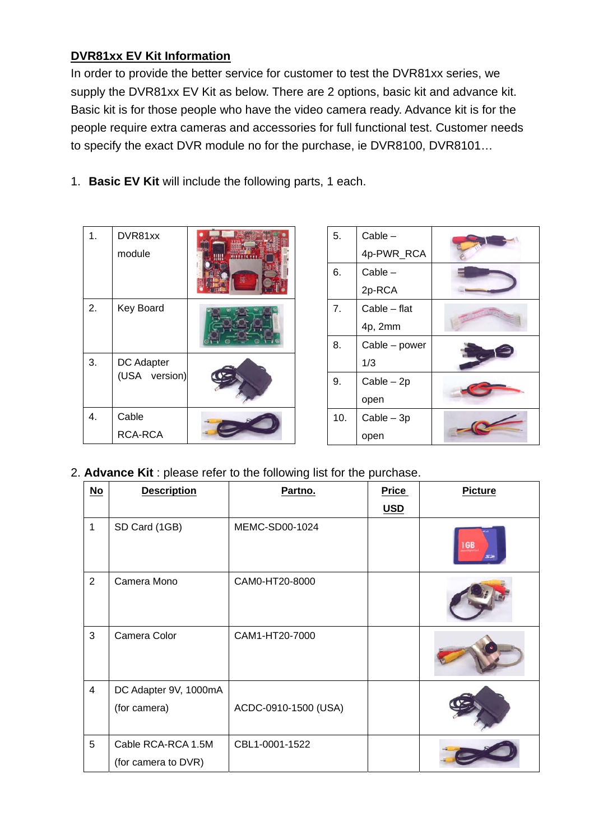## **DVR81xx EV Kit Information**

In order to provide the better service for customer to test the DVR81xx series, we supply the DVR81xx EV Kit as below. There are 2 options, basic kit and advance kit. Basic kit is for those people who have the video camera ready. Advance kit is for the people require extra cameras and accessories for full functional test. Customer needs to specify the exact DVR module no for the purchase, ie DVR8100, DVR8101…

1. **Basic EV Kit** will include the following parts, 1 each.

| 1. | DVR81xx<br>module           |  |
|----|-----------------------------|--|
| 2. | Key Board                   |  |
| 3. | DC Adapter<br>(USA version) |  |
| 4. | Cable                       |  |
|    | <b>RCA-RCA</b>              |  |

| 5.  | $Cable -$     |  |
|-----|---------------|--|
|     | 4p-PWR_RCA    |  |
| 6.  | $Cable -$     |  |
|     | 2p-RCA        |  |
| 7.  | Cable - flat  |  |
|     | 4p, 2mm       |  |
| 8.  | Cable - power |  |
|     | 1/3           |  |
| 9.  | $Cable - 2p$  |  |
|     | open          |  |
| 10. | $Cable - 3p$  |  |
|     | open          |  |

2. **Advance Kit** : please refer to the following list for the purchase.

| $\underline{\mathsf{No}}$ | <b>Description</b>                    | Partno.              | <b>Price</b> | <b>Picture</b> |
|---------------------------|---------------------------------------|----------------------|--------------|----------------|
|                           |                                       |                      | <b>USD</b>   |                |
| $\mathbf{1}$              | SD Card (1GB)                         | MEMC-SD00-1024       |              |                |
| $\overline{2}$            | Camera Mono                           | CAM0-HT20-8000       |              |                |
| 3                         | Camera Color                          | CAM1-HT20-7000       |              |                |
| $\overline{4}$            | DC Adapter 9V, 1000mA<br>(for camera) | ACDC-0910-1500 (USA) |              |                |
|                           |                                       |                      |              |                |
| 5                         | Cable RCA-RCA 1.5M                    | CBL1-0001-1522       |              |                |
|                           | (for camera to DVR)                   |                      |              |                |